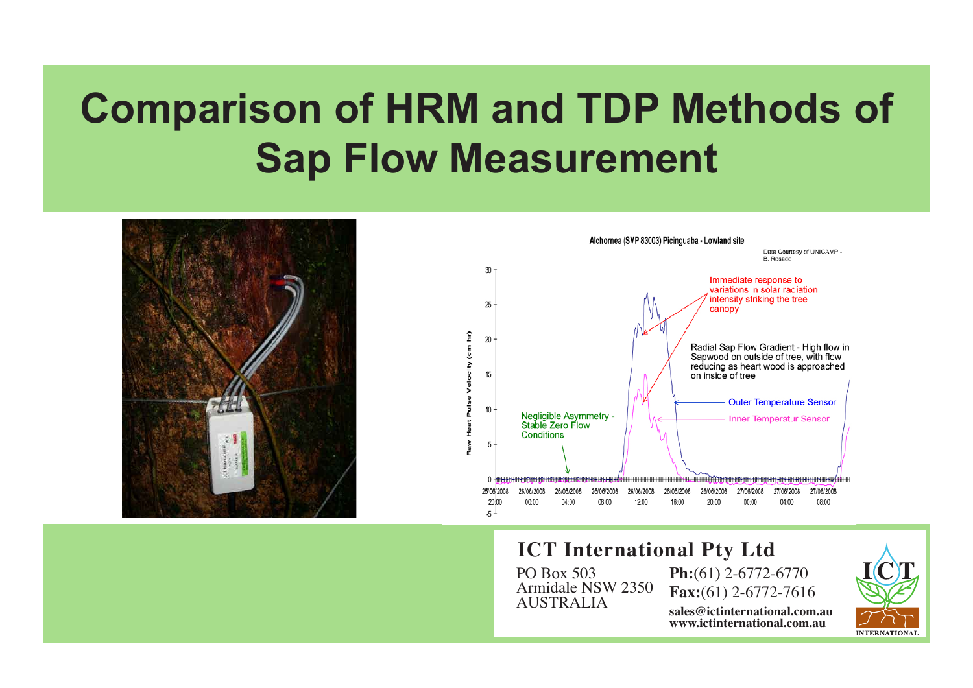# **Comparison of HRM and TDP Methods of Sap Flow Measurement**





#### **ICT International Pty Ltd**

PO Box 503 Armidale NSW 2350 AUSTRALIA

**Ph:**(61) 2-6772-6770 **Fax:**(61) 2-6772-7616 **sales@ictinternational.com.au www.ictinternational.com.au**

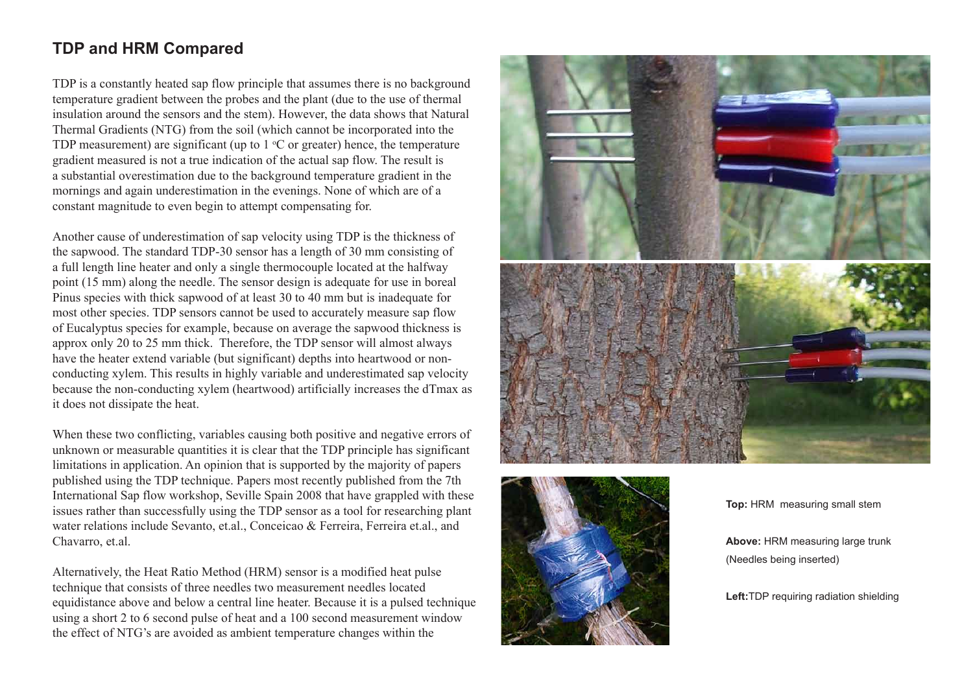#### **TDP and HRM Compared**

TDP is a constantly heated sap flow principle that assumes there is no background temperature gradient between the probes and the plant (due to the use of thermal insulation around the sensors and the stem). However, the data shows that Natural Thermal Gradients (NTG) from the soil (which cannot be incorporated into the TDP measurement) are significant (up to  $1 \text{ }^{\circ}$ C or greater) hence, the temperature gradient measured is not a true indication of the actual sap flow. The result is a substantial overestimation due to the background temperature gradient in the mornings and again underestimation in the evenings. None of which are of a constant magnitude to even begin to attempt compensating for.

Another cause of underestimation of sap velocity using TDP is the thickness of the sapwood. The standard TDP-30 sensor has a length of 30 mm consisting of a full length line heater and only a single thermocouple located at the halfway point (15 mm) along the needle. The sensor design is adequate for use in boreal Pinus species with thick sapwood of at least 30 to 40 mm but is inadequate for most other species. TDP sensors cannot be used to accurately measure sap flow of Eucalyptus species for example, because on average the sapwood thickness is approx only 20 to 25 mm thick. Therefore, the TDP sensor will almost always have the heater extend variable (but significant) depths into heartwood or nonconducting xylem. This results in highly variable and underestimated sap velocity because the non-conducting xylem (heartwood) artificially increases the dTmax as it does not dissipate the heat.

When these two conflicting, variables causing both positive and negative errors of unknown or measurable quantities it is clear that the TDP principle has significant limitations in application. An opinion that is supported by the majority of papers published using the TDP technique. Papers most recently published from the 7th International Sap flow workshop, Seville Spain 2008 that have grappled with these issues rather than successfully using the TDP sensor as a tool for researching plant water relations include Sevanto, et.al., Conceicao & Ferreira, Ferreira et.al., and Chavarro, et.al.

Alternatively, the Heat Ratio Method (HRM) sensor is a modified heat pulse technique that consists of three needles two measurement needles located equidistance above and below a central line heater. Because it is a pulsed technique using a short 2 to 6 second pulse of heat and a 100 second measurement window the effect of NTG's are avoided as ambient temperature changes within the





**Top:** HRM measuring small stem

**Above:** HRM measuring large trunk (Needles being inserted)

**Left:**TDP requiring radiation shielding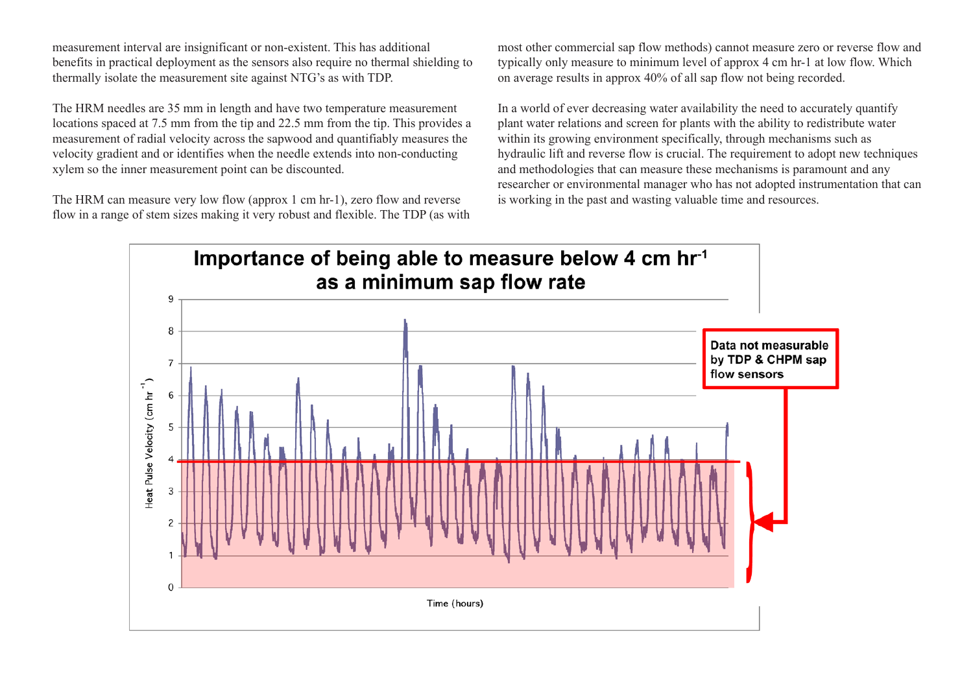measurement interval are insignificant or non-existent. This has additional benefits in practical deployment as the sensors also require no thermal shielding to thermally isolate the measurement site against NTG's as with TDP.

The HRM needles are 35 mm in length and have two temperature measurement locations spaced at 7.5 mm from the tip and 22.5 mm from the tip. This provides a measurement of radial velocity across the sapwood and quantifiably measures the velocity gradient and or identifies when the needle extends into non-conducting xylem so the inner measurement point can be discounted.

The HRM can measure very low flow (approx 1 cm hr-1), zero flow and reverse flow in a range of stem sizes making it very robust and flexible. The TDP (as with most other commercial sap flow methods) cannot measure zero or reverse flow and typically only measure to minimum level of approx 4 cm hr-1 at low flow. Which on average results in approx 40% of all sap flow not being recorded.

In a world of ever decreasing water availability the need to accurately quantify plant water relations and screen for plants with the ability to redistribute water within its growing environment specifically, through mechanisms such as hydraulic lift and reverse flow is crucial. The requirement to adopt new techniques and methodologies that can measure these mechanisms is paramount and any researcher or environmental manager who has not adopted instrumentation that can is working in the past and wasting valuable time and resources.

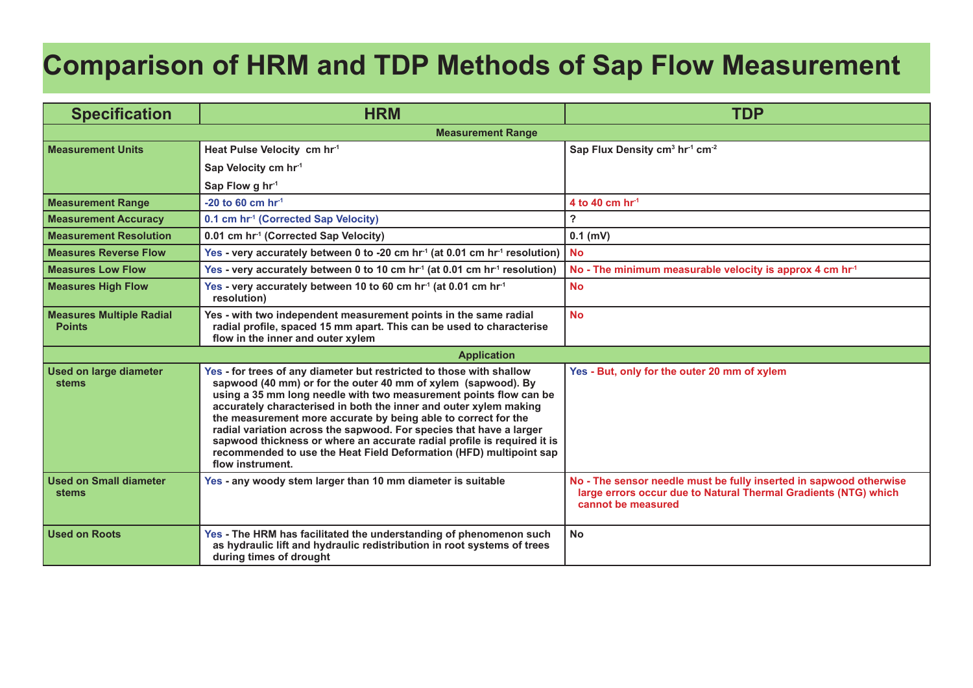## **Comparison of HRM and TDP Methods of Sap Flow Measurement**

| <b>Specification</b>                             | <b>HRM</b>                                                                                                                                                                                                                                                                                                                                                                                                                                                                                                                                                                                    | <b>TDP</b>                                                                                                                                                  |  |
|--------------------------------------------------|-----------------------------------------------------------------------------------------------------------------------------------------------------------------------------------------------------------------------------------------------------------------------------------------------------------------------------------------------------------------------------------------------------------------------------------------------------------------------------------------------------------------------------------------------------------------------------------------------|-------------------------------------------------------------------------------------------------------------------------------------------------------------|--|
| <b>Measurement Range</b>                         |                                                                                                                                                                                                                                                                                                                                                                                                                                                                                                                                                                                               |                                                                                                                                                             |  |
| <b>Measurement Units</b>                         | Heat Pulse Velocity cm hr <sup>-1</sup>                                                                                                                                                                                                                                                                                                                                                                                                                                                                                                                                                       | Sap Flux Density cm <sup>3</sup> hr <sup>1</sup> cm <sup>-2</sup>                                                                                           |  |
|                                                  | Sap Velocity cm hr <sup>1</sup>                                                                                                                                                                                                                                                                                                                                                                                                                                                                                                                                                               |                                                                                                                                                             |  |
|                                                  | Sap Flow g hr <sup>-1</sup>                                                                                                                                                                                                                                                                                                                                                                                                                                                                                                                                                                   |                                                                                                                                                             |  |
| <b>Measurement Range</b>                         | $-20$ to 60 cm hr <sup>-1</sup>                                                                                                                                                                                                                                                                                                                                                                                                                                                                                                                                                               | 4 to 40 cm $hr1$                                                                                                                                            |  |
| <b>Measurement Accuracy</b>                      | 0.1 cm hr <sup>1</sup> (Corrected Sap Velocity)                                                                                                                                                                                                                                                                                                                                                                                                                                                                                                                                               | $\overline{\mathbf{?}}$                                                                                                                                     |  |
| <b>Measurement Resolution</b>                    | 0.01 cm hr <sup>1</sup> (Corrected Sap Velocity)                                                                                                                                                                                                                                                                                                                                                                                                                                                                                                                                              | $0.1$ (mV)                                                                                                                                                  |  |
| <b>Measures Reverse Flow</b>                     | Yes - very accurately between 0 to -20 cm hr <sup>-1</sup> (at 0.01 cm hr <sup>-1</sup> resolution)                                                                                                                                                                                                                                                                                                                                                                                                                                                                                           | <b>No</b>                                                                                                                                                   |  |
| <b>Measures Low Flow</b>                         | Yes - very accurately between 0 to 10 cm hr <sup>1</sup> (at 0.01 cm hr <sup>1</sup> resolution)                                                                                                                                                                                                                                                                                                                                                                                                                                                                                              | No - The minimum measurable velocity is approx 4 cm hr <sup>1</sup>                                                                                         |  |
| <b>Measures High Flow</b>                        | Yes - very accurately between 10 to 60 cm hr <sup>-1</sup> (at 0.01 cm hr <sup>-1</sup><br>resolution)                                                                                                                                                                                                                                                                                                                                                                                                                                                                                        | <b>No</b>                                                                                                                                                   |  |
| <b>Measures Multiple Radial</b><br><b>Points</b> | Yes - with two independent measurement points in the same radial<br>radial profile, spaced 15 mm apart. This can be used to characterise<br>flow in the inner and outer xylem                                                                                                                                                                                                                                                                                                                                                                                                                 | <b>No</b>                                                                                                                                                   |  |
| <b>Application</b>                               |                                                                                                                                                                                                                                                                                                                                                                                                                                                                                                                                                                                               |                                                                                                                                                             |  |
| <b>Used on large diameter</b><br><b>stems</b>    | Yes - for trees of any diameter but restricted to those with shallow<br>sapwood (40 mm) or for the outer 40 mm of xylem (sapwood). By<br>using a 35 mm long needle with two measurement points flow can be<br>accurately characterised in both the inner and outer xylem making<br>the measurement more accurate by being able to correct for the<br>radial variation across the sapwood. For species that have a larger<br>sapwood thickness or where an accurate radial profile is required it is<br>recommended to use the Heat Field Deformation (HFD) multipoint sap<br>flow instrument. | Yes - But, only for the outer 20 mm of xylem                                                                                                                |  |
| <b>Used on Small diameter</b><br>stems           | Yes - any woody stem larger than 10 mm diameter is suitable                                                                                                                                                                                                                                                                                                                                                                                                                                                                                                                                   | No - The sensor needle must be fully inserted in sapwood otherwise<br>large errors occur due to Natural Thermal Gradients (NTG) which<br>cannot be measured |  |
| <b>Used on Roots</b>                             | Yes - The HRM has facilitated the understanding of phenomenon such<br>as hydraulic lift and hydraulic redistribution in root systems of trees<br>during times of drought                                                                                                                                                                                                                                                                                                                                                                                                                      | <b>No</b>                                                                                                                                                   |  |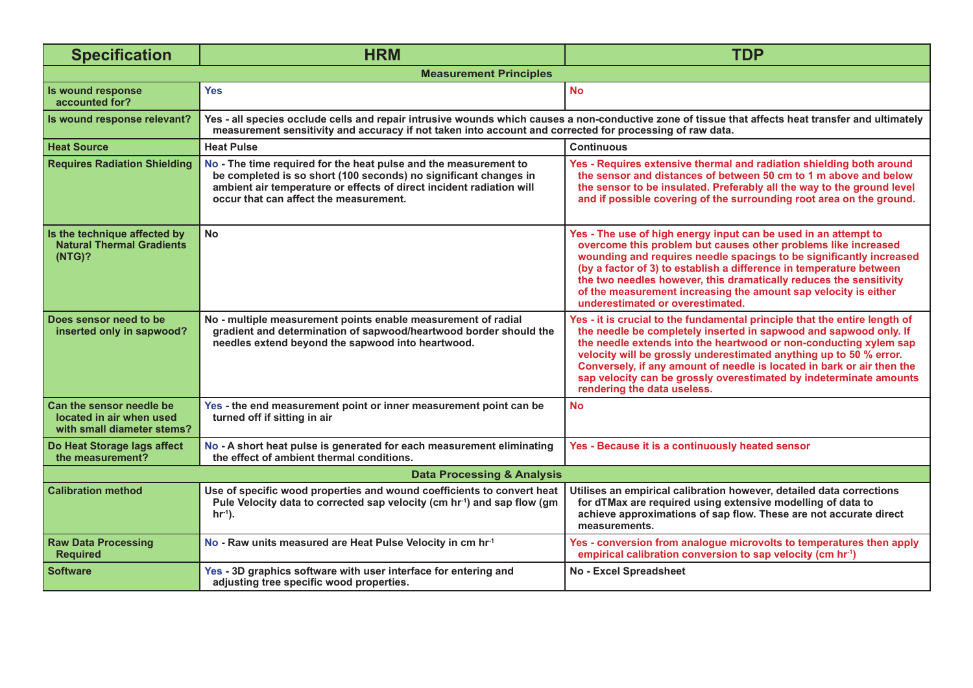| <b>Specification</b>                                                               | <b>HRM</b>                                                                                                                                                                                                                                                     | <b>TDP</b>                                                                                                                                                                                                                                                                                                                                                                                                                                                                |  |
|------------------------------------------------------------------------------------|----------------------------------------------------------------------------------------------------------------------------------------------------------------------------------------------------------------------------------------------------------------|---------------------------------------------------------------------------------------------------------------------------------------------------------------------------------------------------------------------------------------------------------------------------------------------------------------------------------------------------------------------------------------------------------------------------------------------------------------------------|--|
| <b>Measurement Principles</b>                                                      |                                                                                                                                                                                                                                                                |                                                                                                                                                                                                                                                                                                                                                                                                                                                                           |  |
| Is wound response<br>accounted for?                                                | <b>Yes</b>                                                                                                                                                                                                                                                     | <b>No</b>                                                                                                                                                                                                                                                                                                                                                                                                                                                                 |  |
| Is wound response relevant?                                                        | Yes - all species occlude cells and repair intrusive wounds which causes a non-conductive zone of tissue that affects heat transfer and ultimately<br>measurement sensitivity and accuracy if not taken into account and corrected for processing of raw data. |                                                                                                                                                                                                                                                                                                                                                                                                                                                                           |  |
| <b>Heat Source</b>                                                                 | <b>Heat Pulse</b>                                                                                                                                                                                                                                              | <b>Continuous</b>                                                                                                                                                                                                                                                                                                                                                                                                                                                         |  |
| <b>Requires Radiation Shielding</b>                                                | No - The time required for the heat pulse and the measurement to<br>be completed is so short (100 seconds) no significant changes in<br>ambient air temperature or effects of direct incident radiation will<br>occur that can affect the measurement.         | Yes - Requires extensive thermal and radiation shielding both around<br>the sensor and distances of between 50 cm to 1 m above and below<br>the sensor to be insulated. Preferably all the way to the ground level<br>and if possible covering of the surrounding root area on the ground.                                                                                                                                                                                |  |
| Is the technique affected by<br><b>Natural Thermal Gradients</b><br>(NTG)?         | <b>No</b>                                                                                                                                                                                                                                                      | Yes - The use of high energy input can be used in an attempt to<br>overcome this problem but causes other problems like increased<br>wounding and requires needle spacings to be significantly increased<br>(by a factor of 3) to establish a difference in temperature between<br>the two needles however, this dramatically reduces the sensitivity<br>of the measurement increasing the amount sap velocity is either<br>underestimated or overestimated.              |  |
| Does sensor need to be<br>inserted only in sapwood?                                | No - multiple measurement points enable measurement of radial<br>gradient and determination of sapwood/heartwood border should the<br>needles extend beyond the sapwood into heartwood.                                                                        | Yes - it is crucial to the fundamental principle that the entire length of<br>the needle be completely inserted in sapwood and sapwood only. If<br>the needle extends into the heartwood or non-conducting xylem sap<br>velocity will be grossly underestimated anything up to 50 % error.<br>Conversely, if any amount of needle is located in bark or air then the<br>sap velocity can be grossly overestimated by indeterminate amounts<br>rendering the data useless. |  |
| Can the sensor needle be<br>located in air when used<br>with small diameter stems? | Yes - the end measurement point or inner measurement point can be<br>turned off if sitting in air                                                                                                                                                              | <b>No</b>                                                                                                                                                                                                                                                                                                                                                                                                                                                                 |  |
| Do Heat Storage lags affect<br>the measurement?                                    | No - A short heat pulse is generated for each measurement eliminating<br>the effect of ambient thermal conditions.                                                                                                                                             | Yes - Because it is a continuously heated sensor                                                                                                                                                                                                                                                                                                                                                                                                                          |  |
| <b>Data Processing &amp; Analysis</b>                                              |                                                                                                                                                                                                                                                                |                                                                                                                                                                                                                                                                                                                                                                                                                                                                           |  |
| <b>Calibration method</b>                                                          | Use of specific wood properties and wound coefficients to convert heat<br>Pule Velocity data to corrected sap velocity (cm hr <sup>-1</sup> ) and sap flow (gm<br>$hr^{-1}$ ).                                                                                 | Utilises an empirical calibration however, detailed data corrections<br>for dTMax are required using extensive modelling of data to<br>achieve approximations of sap flow. These are not accurate direct<br>measurements.                                                                                                                                                                                                                                                 |  |
| <b>Raw Data Processing</b><br><b>Required</b>                                      | No - Raw units measured are Heat Pulse Velocity in cm hr <sup>1</sup>                                                                                                                                                                                          | Yes - conversion from analogue microvolts to temperatures then apply<br>empirical calibration conversion to sap velocity (cm hr <sup>1</sup> )                                                                                                                                                                                                                                                                                                                            |  |
| <b>Software</b>                                                                    | Yes - 3D graphics software with user interface for entering and<br>adjusting tree specific wood properties.                                                                                                                                                    | <b>No - Excel Spreadsheet</b>                                                                                                                                                                                                                                                                                                                                                                                                                                             |  |